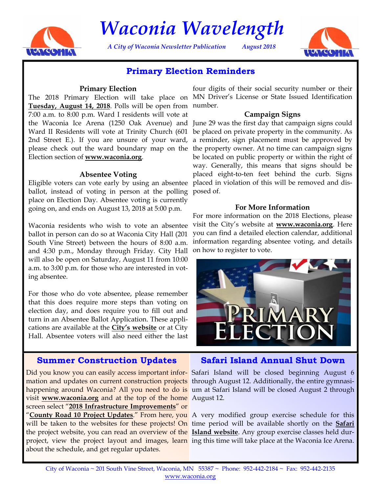

# *Waconia Wavelength*

*A City of Waconia Newsletter Publication August 2018* 





**Primary Election Reminders** 

#### **Primary Election**

**Tuesday, August 14, 2018**. Polls will be open from number. 7:00 a.m. to 8:00 p.m. Ward I residents will vote at the Waconia Ice Arena (1250 Oak Avenue) and June 29 was the first day that campaign signs could Ward II Residents will vote at Trinity Church (601 be placed on private property in the community. As 2nd Street E.). If you are unsure of your ward, a reminder, sign placement must be approved by please check out the ward boundary map on the the property owner. At no time can campaign signs Election section of **[www.waconia.org](https://www.waconia.org/DocumentCenter/View/1635/Waconia-Wards-Map-2018?bidId=)**.

#### **Absentee Voting**

Eligible voters can vote early by using an absentee placed in violation of this will be removed and disballot, instead of voting in person at the polling posed of. place on Election Day. Absentee voting is currently going on, and ends on August 13, 2018 at 5:00 p.m.

Waconia residents who wish to vote an absentee ballot in person can do so at Waconia City Hall (201 South Vine Street) between the hours of 8:00 a.m. and 4:30 p.m., Monday through Friday. City Hall will also be open on Saturday, August 11 from 10:00 a.m. to 3:00 p.m. for those who are interested in voting absentee.

For those who do vote absentee, please remember that this does require more steps than voting on election day, and does require you to fill out and turn in an Absentee Ballot Application. These applications are available at the **City's website** or at City Hall. Absentee voters will also need either the last

The 2018 Primary Election will take place on MN Driver's License or State Issued Identification four digits of their social security number or their

### **Campaign Signs**

be located on public property or within the right of way. Generally, this means that signs should be placed eight-to-ten feet behind the curb. Signs

#### **For More Information**

For more information on the 2018 Elections, please visit the City's website at **[www.waconia.org](https://www.waconia.org/166/Elections-Voting)**. Here you can find a detailed election calendar, additional information regarding absentee voting, and details on how to register to vote.



# **Summer Construction Updates**

mation and updates on current construction projects through August 12. Additionally, the entire gymnasivisit **[www.waconia.org](http://waconia.org/)** and at the top of the home August 12. screen select "**[2018 Infrastructure Improvements](https://clients.bolton-menk.com/waconia2018/)**" or the project website, you can read an overview of the **[Island website](http://www.safariislandcommunitycenter.com/)**. Any group exercise classes held durabout the schedule, and get regular updates.

# **Safari Island Annual Shut Down**

Did you know you can easily access important infor-Safari Island will be closed beginning August 6 happening around Waconia? All you need to do is um at Safari Island will be closed August 2 through

"**[County Road 10 Project Updates](https://clients.bolton-menk.com/carvercountycsah10/)**." From here, you A very modified group exercise schedule for this will be taken to the websites for these projects! On time period will be available shortly on the **Safari** project, view the project layout and images, learn ing this time will take place at the Waconia Ice Arena.